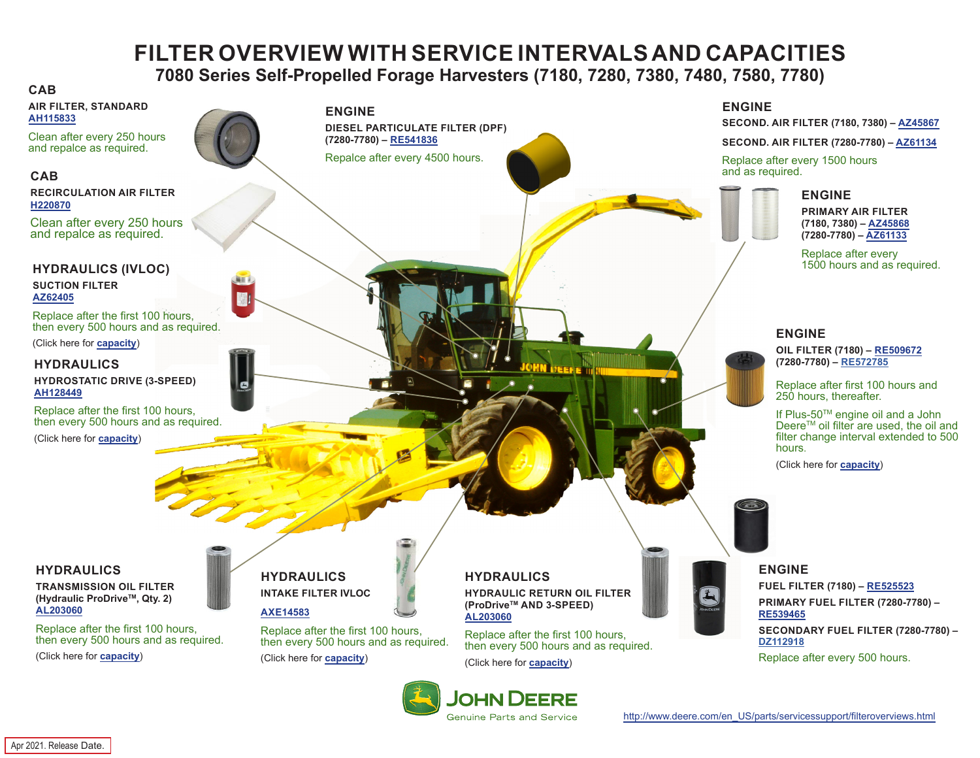# **FILTER OVERVIEW WITH SERVICE INTERVALS AND CAPACITIES**

**7080 Series Self-Propelled Forage Harvesters (7180, 7280, 7380, 7480, 7580, 7780)**

#### <span id="page-0-0"></span>**CAB**

- **AIR FILTER, STANDARD [AH115833](https://jdparts.deere.com/servlet/com.deere.u90.jdparts.view.servlets.partinfocontroller.PartDetails?screenName=JDSearch&&partSearchNumber=AH115833)**
- Clean after every 250 hours and repalce as required.

#### **CAB**

#### **RECIRCULATION AIR FILTER [H220870](https://jdparts.deere.com/servlet/com.deere.u90.jdparts.view.servlets.partinfocontroller.PartDetails?screenName=JDSearch&&partSearchNumber=H220870)**

Clean after every 250 hours and repalce as required.

#### **HYDRAULICS (IVLOC) SUCTION FILTER [AZ62405](https://jdparts.deere.com/servlet/com.deere.u90.jdparts.view.servlets.partinfocontroller.PartDetails?screenName=JDSearch&&partSearchNumber=AZ62405)**

Replace after the first 100 hours, then every 500 hours and as required.

(Click here for **[capacity](#page-1-0)**)

#### **HYDRAULICS**

**HYDROSTATIC DRIVE (3-SPEED) [AH128449](https://jdparts.deere.com/servlet/com.deere.u90.jdparts.view.servlets.partinfocontroller.PartDetails?screenName=JDSearch&&partSearchNumber=AH128449)**

Replace after the first 100 hours, then every 500 hours and as required.

(Click here for **[capacity](#page-1-0)**)

#### **HYDRAULICS**

**TRANSMISSION OIL FILTER (Hydraulic ProDriveTM, Qty. 2) [AL203060](https://jdparts.deere.com/servlet/com.deere.u90.jdparts.view.servlets.partinfocontroller.PartDetails?screenName=JDSearch&&partSearchNumber=AL203060)**

Replace after the first 100 hours, then every 500 hours and as required.

(Click here for **[capacity](#page-1-0)**)

**ENGINE DIESEL PARTICULATE FILTER (DPF) (7280-7780) – [RE541836](https://jdparts.deere.com/servlet/com.deere.u90.jdparts.view.servlets.partinfocontroller.PartDetails?screenName=JDSearch&&partSearchNumber=RE541836)**

Repalce after every 4500 hours.

#### **ENGINE**

**SECOND. AIR FILTER (7180, 7380) – [AZ45867](https://jdparts.deere.com/servlet/com.deere.u90.jdparts.view.servlets.partinfocontroller.PartDetails?screenName=JDSearch&&partSearchNumber=AZ45867)**

**SECOND. AIR FILTER (7280-7780) – [AZ61134](https://jdparts.deere.com/servlet/com.deere.u90.jdparts.view.servlets.partinfocontroller.PartDetails?screenName=JDSearch&&partSearchNumber=AZ61134)**

Replace after every 1500 hours and as required.

## **ENGINE**

**PRIMARY AIR FILTER (7180, 7380) – [AZ45868](https://jdparts.deere.com/servlet/com.deere.u90.jdparts.view.servlets.partinfocontroller.PartDetails?screenName=JDSearch&&partSearchNumber=AZ45868) (7280-7780) – [AZ61133](https://jdparts.deere.com/servlet/com.deere.u90.jdparts.view.servlets.partinfocontroller.PartDetails?screenName=JDSearch&&partSearchNumber=AZ61133)**

Replace after every 1500 hours and as required.

#### **ENGINE**

**OIL FILTER (7180) – [RE509672](https://jdparts.deere.com/servlet/com.deere.u90.jdparts.view.servlets.partinfocontroller.PartDetails%3FscreenName%3DJDSearch%26%26partSearchNumber%3DRE509672) (7280-7780) – [RE572785](https://jdparts.deere.com/servlet/com.deere.u90.jdparts.view.servlets.partinfocontroller.PartDetails?screenName=JDSearch&&partSearchNumber= RE572785)**

Replace after first 100 hours and 250 hours, thereafter.

If Plus-50TM engine oil and a John Deere<sup>™</sup> oil filter are used, the oil and filter change interval extended to 500 hours.

(Click here for **[capacity](#page-1-0)**)



#### **ENGINE FUEL FILTER (7180) – [RE525523](https://jdparts.deere.com/servlet/com.deere.u90.jdparts.view.servlets.partinfocontroller.PartDetails?screenName=JDSearch&&partSearchNumber=RE525523) PRIMARY FUEL FILTER (7280-7780) – [RE539465](https://jdparts.deere.com/servlet/com.deere.u90.jdparts.view.servlets.partinfocontroller.PartDetails?screenName=JDSearch&&partSearchNumber=RE539465) SECONDARY FUEL FILTER (7280-7780) – [DZ112918](https://jdparts.deere.com/servlet/com.deere.u90.jdparts.view.servlets.partinfocontroller.PartDetails?screenName=JDSearch&&partSearchNumber=DZ112918)**

Replace after every 500 hours.

**HYDRAULICS HYDRAULIC RETURN OIL FILTER (ProDriveTM AND 3-SPEED) [AL203060](https://jdparts.deere.com/servlet/com.deere.u90.jdparts.view.servlets.partinfocontroller.PartDetails?screenName=JDSearch&&partSearchNumber=AL203060)**

Replace after the first 100 hours, then every 500 hours and as required.

(Click here for **[capacity](#page-1-0)**)



**HYDRAULICS INTAKE FILTER IVLOC**

(Click here for **[capacity](#page-1-0)**)

Replace after the first 100 hours, then every 500 hours and as required.

**[AXE14583](https://jdparts.deere.com/servlet/com.deere.u90.jdparts.view.servlets.partinfocontroller.PartDetails?screenName=JDSearch&&partSearchNumber=AXE14583)**

G



[http://www.deere.com/en\\_US/parts/servicessupport/filteroverviews.html](http://www.deere.com/en_US/parts/servicessupport/filteroverviews)

Apr 2021. Release Date.